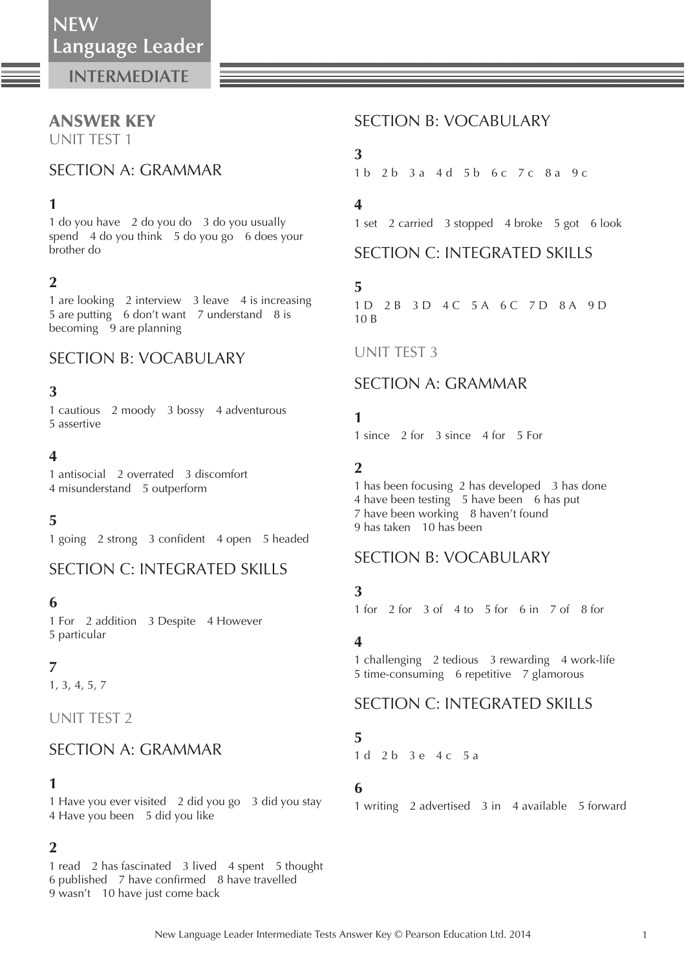# ANSWER KEY

UNIT TEST 1

## SECTION A: GRAMMAR

### **1**

 1 do you have 2 do you do 3 do you usually spend 4 do you think 5 do you go 6 does your brother do

### **2**

 1 are looking 2 interview 3 leave 4 is increasing 5 are putting 6 don't want 7 understand 8 is becoming 9 are planning

### SECTION B: VOCABULARY

#### **3**

 1 cautious 2 moody 3 bossy 4 adventurous 5 assertive

#### **4**

 1 antisocial 2 overrated 3 discomfort 4 misunderstand 5 outperform

#### **5**

1 going 2 strong 3 confident 4 open 5 headed

## SECTION C: INTEGRATED SKILLS

#### **6**

 1 For 2 addition 3 Despite 4 However 5 particular

### **7**

1, 3, 4, 5, 7

UNIT TEST 2

## SECTION A: GRAMMAR

#### **1**

 1 Have you ever visited 2 did you go 3 did you stay 4 Have you been 5 did you like

### **2**

 1 read 2 has fascinated 3 lived 4 spent 5 thought 6 published 7 have confirmed 8 have travelled 9 wasn't 10 have just come back

## SECTION B: VOCABULARY

### **3**

1 b 2 b 3 a 4 d 5 b 6 c 7 c 8 a 9 c

### **4**

1 set 2 carried 3 stopped 4 broke 5 got 6 look

## SECTION C: INTEGRATED SKILLS

#### **5**

1 D 2 B 3 D 4 C 5 A 6 C 7 D 8 A 9 D 10 B

#### UNIT TEST 3

## SECTION A: GRAMMAR

### **1**

1 since 2 for 3 since 4 for 5 For

#### **2**

 1 has been focusing 2 has developed 3 has done 4 have been testing 5 have been 6 has put 7 have been working 8 haven't found 9 has taken 10 has been

#### SECTION B: VOCABULARY

### **3**

1 for 2 for 3 of 4 to 5 for 6 in 7 of 8 for

### **4**

 1 challenging 2 tedious 3 rewarding 4 work-life 5 time-consuming 6 repetitive 7 glamorous

## SECTION C: INTEGRATED SKILLS

### **5**

1 d 2 b 3 e 4 c 5 a

### **6**

1 writing 2 advertised 3 in 4 available 5 forward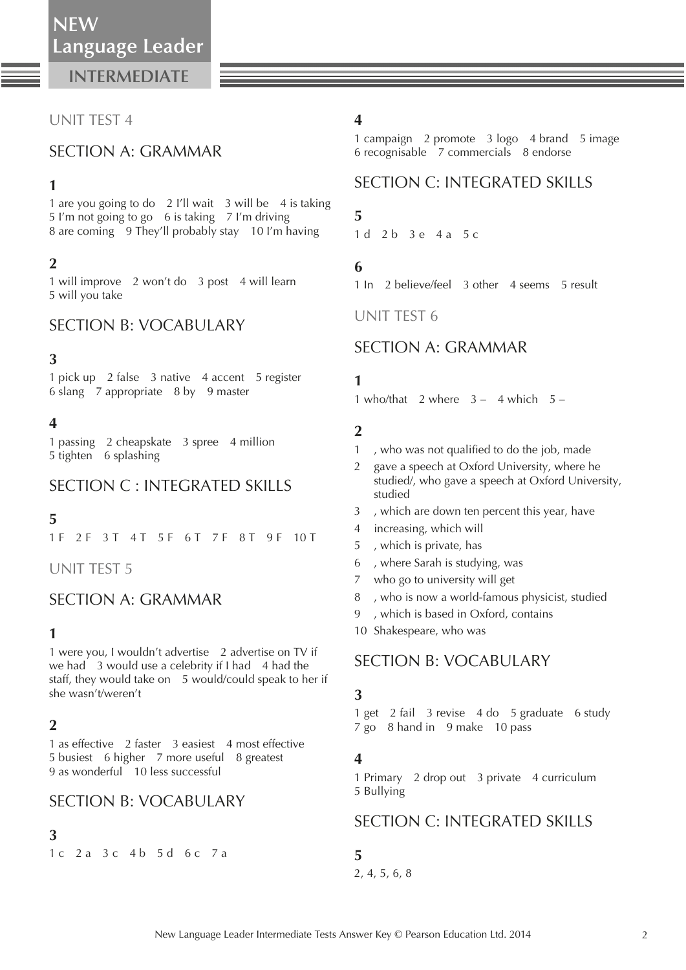## UNIT TEST 4

## SECTION A: GRAMMAR

### **1**

 1 are you going to do 2 I'll wait 3 will be 4 is taking 5 I'm not going to go 6 is taking 7 I'm driving 8 are coming 9 They'll probably stay 10 I'm having

## **2**

 1 will improve 2 won't do 3 post 4 will learn 5 will you take

## SECTION B: VOCABULARY

## **3**

 1 pick up 2 false 3 native 4 accent 5 register 6 slang 7 appropriate 8 by 9 master

## **4**

 1 passing 2 cheapskate 3 spree 4 million 5 tighten 6 splashing

# SECTION C : INTEGRATED SKILLS

## **5**

1 F 2 F 3 T 4 T 5 F 6 T 7 F 8 T 9 F 10 T

UNIT TEST 5

## SECTION A: GRAMMAR

### **1**

 1 were you, I wouldn't advertise 2 advertise on TV if we had  $\overline{3}$  would use a celebrity if I had  $\overline{4}$  had the staff, they would take on 5 would/could speak to her if she wasn't/weren't

## **2**

 1 as effective 2 faster 3 easiest 4 most effective 5 busiest 6 higher 7 more useful 8 greatest 9 as wonderful 10 less successful

## SECTION B: VOCABULARY

### **3**

1 c 2 a 3 c 4 b 5 d 6 c 7 a

## **4**

 1 campaign 2 promote 3 logo 4 brand 5 image 6 recognisable 7 commercials 8 endorse

# SECTION C: INTEGRATED SKILLS

## **5**

1 d 2 b 3 e 4 a 5 c

## **6**

1 In 2 believe/feel 3 other 4 seems 5 result

UNIT TEST 6

## SECTION A: GRAMMAR

## **1**

1 who/that 2 where  $3 - 4$  which  $5 - 1$ 

## **2**

- 1, who was not qualified to do the job, made
- 2 gave a speech at Oxford University, where he studied/, who gave a speech at Oxford University, studied
- 3 , which are down ten percent this year, have
- 4 increasing, which will
- 5 , which is private, has
- 6 , where Sarah is studying, was
- 7 who go to university will get
- 8 , who is now a world-famous physicist, studied
- 9 , which is based in Oxford, contains
- 10 Shakespeare, who was

# SECTION B: VOCABULARY

### **3**

 1 get 2 fail 3 revise 4 do 5 graduate 6 study 7 go 8 hand in 9 make 10 pass

## **4**

 1 Primary 2 drop out 3 private 4 curriculum 5 Bullying

# SECTION C: INTEGRATED SKILLS

### **5**

2, 4, 5, 6, 8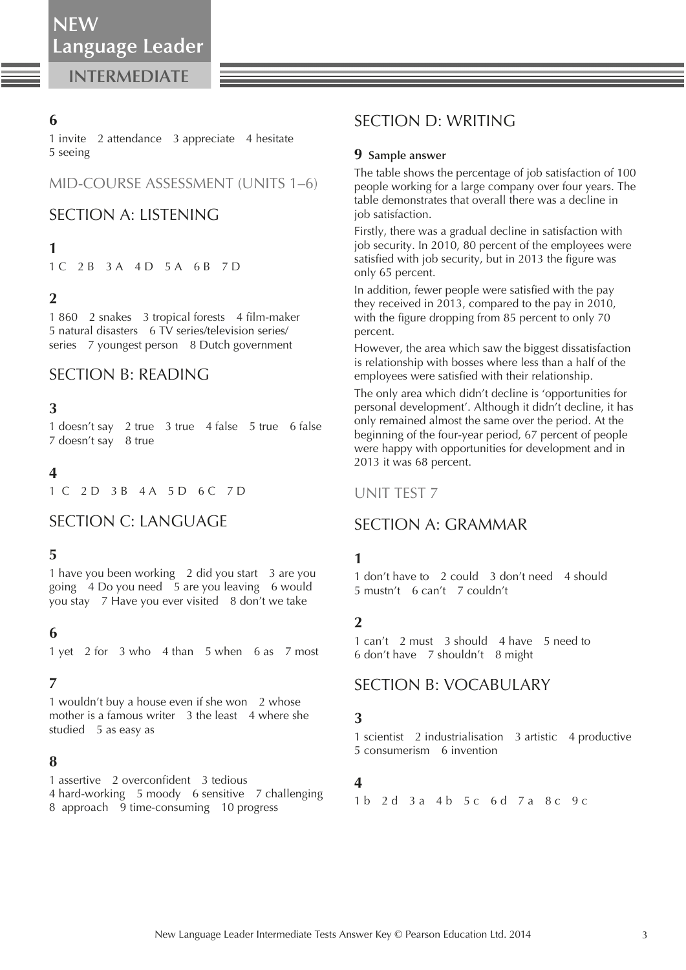### **6**

 1 invite 2 attendance 3 appreciate 4 hesitate 5 seeing

### MID-COURSE ASSESSMENT (UNITS 1–6)

### SECTION A: LISTENING

### **1**

1 C 2 B 3 A 4 D 5 A 6 B 7 D

#### **2**

1 860 2 snakes 3 tropical forests 4 film-maker 5 natural disasters 6 TV series/television series/ series 7 youngest person 8 Dutch government

## SECTION B: READING

#### **3**

 1 doesn't say 2 true 3 true 4 false 5 true 6 false 7 doesn't say 8 true

#### **4**

1 C 2 D 3 B 4 A 5 D 6 C 7 D

#### SECTION C: LANGUAGE

### **5**

 1 have you been working 2 did you start 3 are you going 4 Do you need 5 are you leaving 6 would you stay 7 Have you ever visited 8 don't we take

#### **6**

1 yet 2 for 3 who 4 than 5 when 6 as 7 most

#### **7**

 1 wouldn't buy a house even if she won 2 whose mother is a famous writer 3 the least 4 where she studied 5 as easy as

#### **8**

1 assertive 2 overconfident 3 tedious 4 hard-working 5 moody 6 sensitive 7 challenging 8 approach 9 time-consuming 10 progress

## SECTION D: WRITING

#### **9 Sample answer**

 The table shows the percentage of job satisfaction of 100 people working for a large company over four years. The table demonstrates that overall there was a decline in job satisfaction.

 Firstly, there was a gradual decline in satisfaction with job security. In 2010, 80 percent of the employees were satisfied with job security, but in 2013 the figure was only 65 percent.

In addition, fewer people were satisfied with the pay they received in 2013, compared to the pay in 2010, with the figure dropping from 85 percent to only 70 percent.

 However, the area which saw the biggest dissatisfaction is relationship with bosses where less than a half of the employees were satisfied with their relationship.

 The only area which didn't decline is 'opportunities for personal development'. Although it didn't decline, it has only remained almost the same over the period. At the beginning of the four-year period, 67 percent of people were happy with opportunities for development and in 2013 it was 68 percent.

#### UNIT TEST 7

### SECTION A: GRAMMAR

#### **1**

 1 don't have to 2 could 3 don't need 4 should 5 mustn't 6 can't 7 couldn't

### **2**

 1 can't 2 must 3 should 4 have 5 need to 6 don't have 7 shouldn't 8 might

### SECTION B: VOCABULARY

#### **3**

 1 scientist 2 industrialisation 3 artistic 4 productive 5 consumerism 6 invention

#### **4**

1 b 2 d 3 a 4 b 5 c 6 d 7 a 8 c 9 c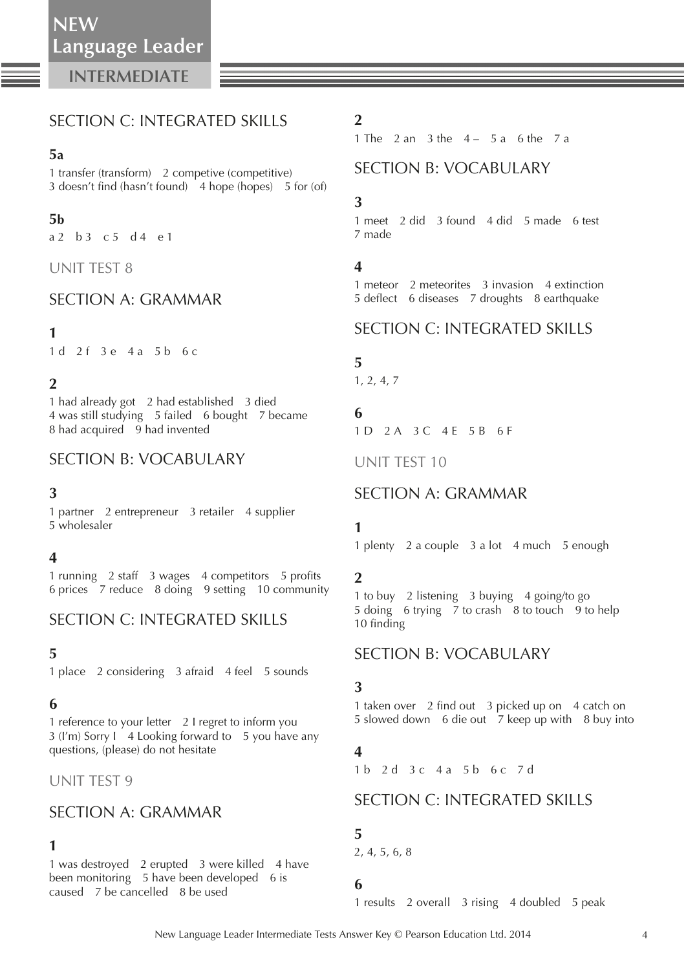# SECTION C: INTEGRATED SKILLS

### **5a**

 1 transfer (transform) 2 competive (competitive) 3 doesn't find (hasn't found) 4 hope (hopes) 5 for (of)

### **5b**

a 2 b 3 c 5 d 4 e 1

#### UNIT TEST 8

## SECTION A: GRAMMAR

#### **1**

1 d 2 f 3 e 4 a 5 b 6 c

## **2**

 1 had already got 2 had established 3 died 4 was still studying 5 failed 6 bought 7 became 8 had acquired 9 had invented

## SECTION B: VOCABULARY

#### **3**

 1 partner 2 entrepreneur 3 retailer 4 supplier 5 wholesaler

#### **4**

1 running 2 staff 3 wages 4 competitors 5 profits 6 prices 7 reduce 8 doing 9 setting 10 community

## SECTION C: INTEGRATED SKILLS

## **5**

1 place 2 considering 3 afraid 4 feel 5 sounds

## **6**

 1 reference to your letter 2 I regret to inform you 3 (I'm) Sorry I 4 Looking forward to 5 you have any questions, (please) do not hesitate

## UNIT TEST 9

# SECTION A: GRAMMAR

#### **1**

 1 was destroyed 2 erupted 3 were killed 4 have been monitoring 5 have been developed 6 is caused 7 be cancelled 8 be used

## **2**

1 The  $2$  an  $3$  the  $4 - 5a$  6 the  $7a$ 

### SECTION B: VOCABULARY

### **3**

 1 meet 2 did 3 found 4 did 5 made 6 test 7 made

#### **4**

 1 meteor 2 meteorites 3 invasion 4 extinction 5 deflect 6 diseases 7 droughts 8 earthquake

## SECTION C: INTEGRATED SKILLS

### **5**

1, 2, 4, 7

# **6**

1 D 2 A 3 C 4 E 5 B 6 F

UNIT TEST 10

### SECTION A: GRAMMAR

## **1**

1 plenty 2 a couple 3 a lot 4 much 5 enough

### **2**

 1 to buy 2 listening 3 buying 4 going/to go 5 doing 6 trying 7 to crash 8 to touch 9 to help 10 finding

### SECTION B: VOCABULARY

#### **3**

1 taken over 2 find out 3 picked up on 4 catch on 5 slowed down 6 die out 7 keep up with 8 buy into

### **4**

1 b 2 d 3 c 4 a 5 b 6 c 7 d

## SECTION C: INTEGRATED SKILLS

### **5**

2, 4, 5, 6, 8

### **6**

1 results 2 overall 3 rising 4 doubled 5 peak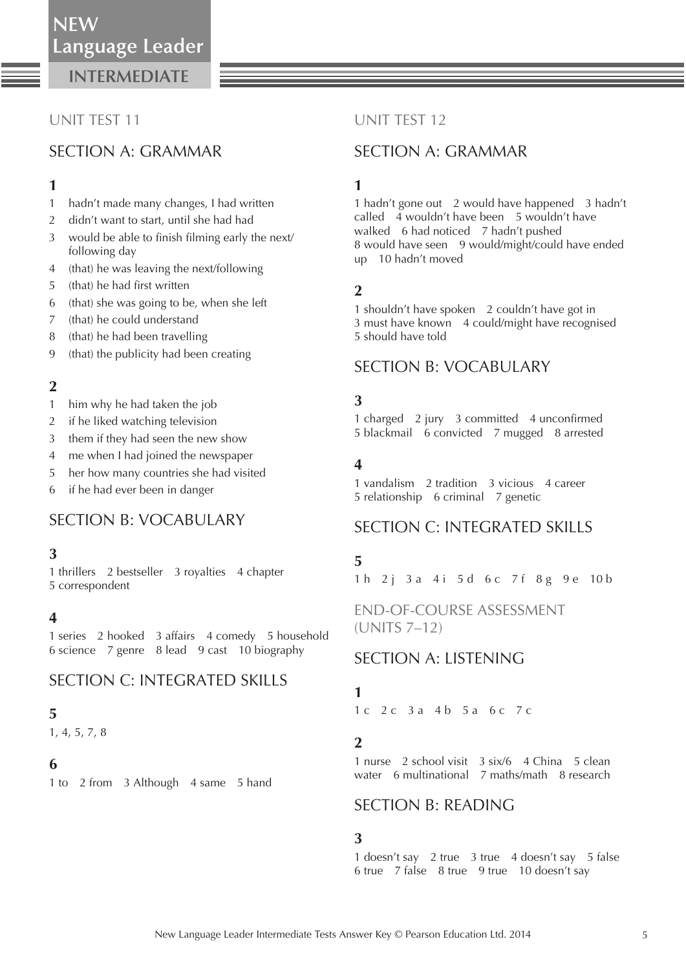## UNIT TEST 11

# SECTION A: GRAMMAR

### **1**

- 1 hadn't made many changes, I had written
- 2 didn't want to start, until she had had
- 3 would be able to finish filming early the next/ following day
- 4 (that) he was leaving the next/following
- 5 (that) he had first written
- 6 (that) she was going to be, when she left
- 7 (that) he could understand
- 8 (that) he had been travelling
- 9 (that) the publicity had been creating

## **2**

- 1 him why he had taken the job
- 2 if he liked watching television
- 3 them if they had seen the new show
- 4 me when I had joined the newspaper
- 5 her how many countries she had visited
- 6 if he had ever been in danger

# SECTION B: VOCABULARY

### **3**

 1 thrillers 2 bestseller 3 royalties 4 chapter 5 correspondent

### **4**

 1 series 2 hooked 3 affairs 4 comedy 5 household 6 science 7 genre 8 lead 9 cast 10 biography

# SECTION C: INTEGRATED SKILLS

## **5**

1, 4, 5, 7, 8

### **6**

1 to 2 from 3 Although 4 same 5 hand

### UNIT TEST 12

# SECTION A: GRAMMAR

## **1**

 1 hadn't gone out 2 would have happened 3 hadn't called 4 wouldn't have been 5 wouldn't have walked 6 had noticed 7 hadn't pushed 8 would have seen 9 would/might/could have ended up 10 hadn't moved

## **2**

 1 shouldn't have spoken 2 couldn't have got in 3 must have known 4 could/might have recognised 5 should have told

# SECTION B: VOCABULARY

## **3**

1 charged 2 jury 3 committed 4 unconfirmed 5 blackmail 6 convicted 7 mugged 8 arrested

## **4**

 1 vandalism 2 tradition 3 vicious 4 career 5 relationship 6 criminal 7 genetic

# SECTION C: INTEGRATED SKILLS

## **5**

1 h 2 j 3 a 4 i 5 d 6 c 7 f 8 g 9 e 10 b

END-OF-COURSE ASSESSMENT (UNITS 7–12)

# SECTION A: LISTENING

# **1**

 $1 c 2 c 3 a 4 b 5 a 6 c 7 c$ 

## **2**

 1 nurse 2 school visit 3 six/6 4 China 5 clean water 6 multinational 7 maths/math 8 research

### SECTION B: READING

### **3**

 1 doesn't say 2 true 3 true 4 doesn't say 5 false 6 true 7 false 8 true 9 true 10 doesn't say